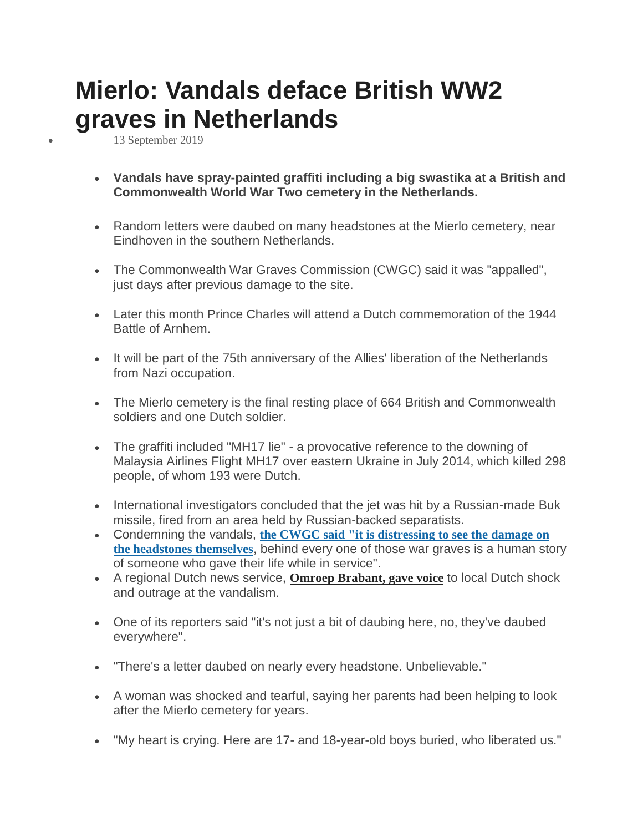## **Mierlo: Vandals deface British WW2 graves in Netherlands**

13 September 2019

- **Vandals have spray-painted graffiti including a big swastika at a British and Commonwealth World War Two cemetery in the Netherlands.**
- Random letters were daubed on many headstones at the Mierlo cemetery, near Eindhoven in the southern Netherlands.
- The Commonwealth War Graves Commission (CWGC) said it was "appalled", just days after previous damage to the site.
- Later this month Prince Charles will attend a Dutch commemoration of the 1944 Battle of Arnhem.
- It will be part of the 75th anniversary of the Allies' liberation of the Netherlands from Nazi occupation.
- The Mierlo cemetery is the final resting place of 664 British and Commonwealth soldiers and one Dutch soldier.
- The graffiti included "MH17 lie" a provocative reference to the downing of Malaysia Airlines Flight MH17 over eastern Ukraine in July 2014, which killed 298 people, of whom 193 were Dutch.
- International investigators concluded that the jet was hit by a Russian-made Buk missile, fired from an area held by Russian-backed separatists.
- Condemning the vandals, **the CWGC said "it is [distressing](https://www.cwgc.org/learn/news-and-events/news/2019/09/13/09/38/vandalism-at-mierlo-war-cemetery) to see the damage on the [headstones](https://www.cwgc.org/learn/news-and-events/news/2019/09/13/09/38/vandalism-at-mierlo-war-cemetery) themselves**, behind every one of those war graves is a human story of someone who gave their life while in service".
- A regional Dutch news service, **Omroep [Brabant,](https://www.omroepbrabant.nl/nieuws/3067210/Grafschennis-op-oorlogsbegraafplaats-wekt-grote-woede-op-Vuil-ellendig-en-misselijkmakend) gave voice** to local Dutch shock and outrage at the vandalism.
- One of its reporters said "it's not just a bit of daubing here, no, they've daubed everywhere".
- "There's a letter daubed on nearly every headstone. Unbelievable."
- A woman was shocked and tearful, saying her parents had been helping to look after the Mierlo cemetery for years.
- "My heart is crying. Here are 17- and 18-year-old boys buried, who liberated us."